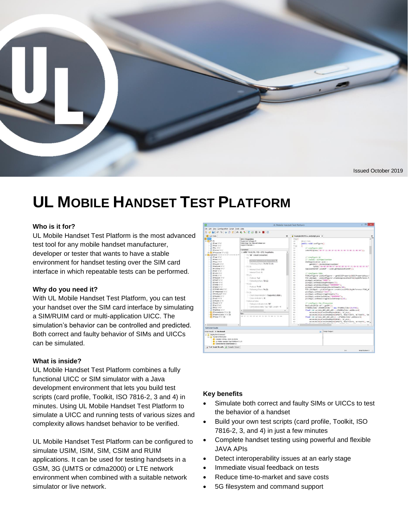

# **UL MOBILE HANDSET TEST PLATFORM**

#### **Who is it for?**

UL Mobile Handset Test Platform is the most advanced test tool for any mobile handset manufacturer, developer or tester that wants to have a stable environment for handset testing over the SIM card interface in which repeatable tests can be performed.

#### **Why do you need it?**

With UL Mobile Handset Test Platform, you can test your handset over the SIM card interface by simulating a SIM/RUIM card or multi-application UICC. The simulation's behavior can be controlled and predicted. Both correct and faulty behavior of SIMs and UICCs can be simulated.

#### **What is inside?**

UL Mobile Handset Test Platform combines a fully functional UICC or SIM simulator with a Java development environment that lets you build test scripts (card profile, Toolkit, ISO 7816-2, 3 and 4) in minutes. Using UL Mobile Handset Test Platform to simulate a UICC and running tests of various sizes and complexity allows handset behavior to be verified.

UL Mobile Handset Test Platform can be configured to simulate USIM, ISIM, SIM, CSIM and RUIM applications. It can be used for testing handsets in a GSM, 3G (UMTS or cdma2000) or LTE network environment when combined with a suitable network simulator or live network.



#### **Key benefits**

- Simulate both correct and faulty SIMs or UICCs to test the behavior of a handset
- Build your own test scripts (card profile, Toolkit, ISO 7816-2, 3, and 4) in just a few minutes
- Complete handset testing using powerful and flexible JAVA APIs
- Detect interoperability issues at an early stage
- Immediate visual feedback on tests
- Reduce time-to-market and save costs
- 5G filesystem and command support